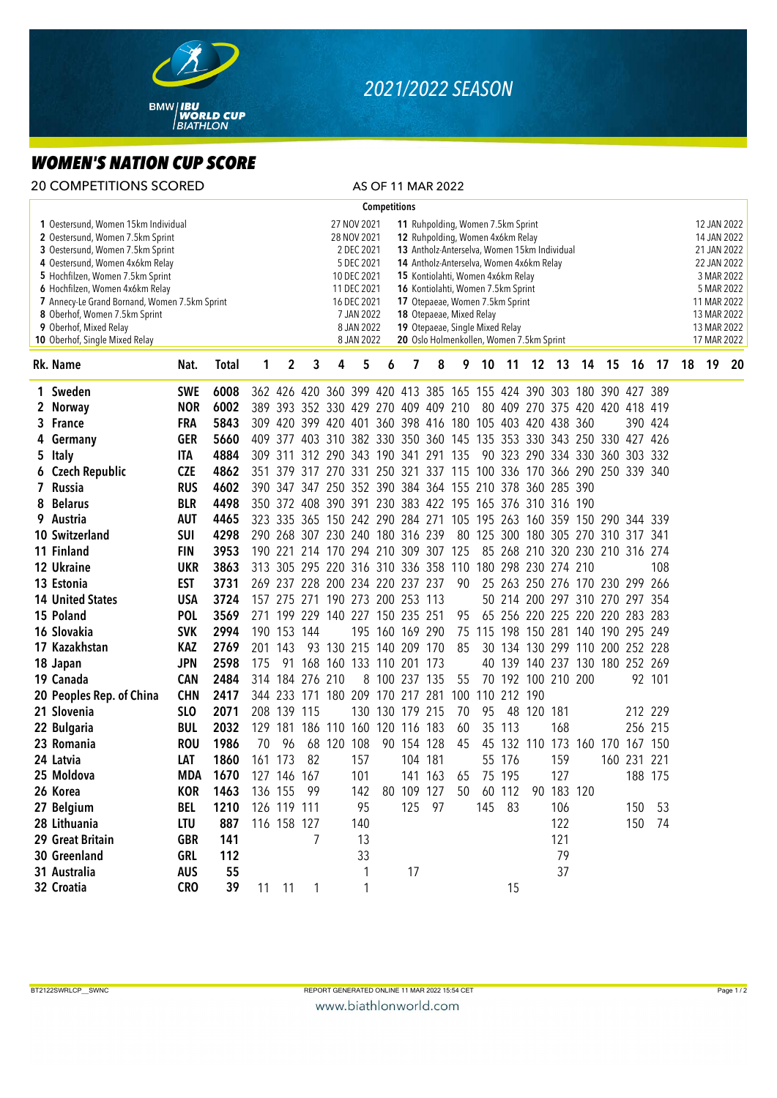

## *2021/2022 SEASON*

## *WOMEN'S NATION CUP SCORE*

| <b>20 COMPETITIONS SCORED</b>                                                                                                                                                                                                                                                                                                                                       |                          |            |              |                                                                                                                                                                                                                                                                                                                                                                                                                                                                                                                                             |                 |   |                                                                     |     |   |                 | AS OF 11 MAR 2022 |     |                                    |             |                     |            |  |                                 |                                                                                                                                                  |        |    |    |     |
|---------------------------------------------------------------------------------------------------------------------------------------------------------------------------------------------------------------------------------------------------------------------------------------------------------------------------------------------------------------------|--------------------------|------------|--------------|---------------------------------------------------------------------------------------------------------------------------------------------------------------------------------------------------------------------------------------------------------------------------------------------------------------------------------------------------------------------------------------------------------------------------------------------------------------------------------------------------------------------------------------------|-----------------|---|---------------------------------------------------------------------|-----|---|-----------------|-------------------|-----|------------------------------------|-------------|---------------------|------------|--|---------------------------------|--------------------------------------------------------------------------------------------------------------------------------------------------|--------|----|----|-----|
| <b>Competitions</b>                                                                                                                                                                                                                                                                                                                                                 |                          |            |              |                                                                                                                                                                                                                                                                                                                                                                                                                                                                                                                                             |                 |   |                                                                     |     |   |                 |                   |     |                                    |             |                     |            |  |                                 |                                                                                                                                                  |        |    |    |     |
| 1 Oestersund, Women 15km Individual<br>2 Oestersund, Women 7.5km Sprint<br>3 Oestersund, Women 7.5km Sprint<br>4 Oestersund, Women 4x6km Relay<br>5 Hochfilzen, Women 7.5km Sprint<br>6 Hochfilzen, Women 4x6km Relay<br>7 Annecy-Le Grand Bornand, Women 7.5km Sprint<br>8 Oberhof, Women 7.5km Sprint<br>9 Oberhof, Mixed Relay<br>10 Oberhof, Single Mixed Relay |                          |            |              | 11 Ruhpolding, Women 7.5km Sprint<br>27 NOV 2021<br>28 NOV 2021<br>12 Ruhpolding, Women 4x6km Relay<br>2 DEC 2021<br>13 Antholz-Anterselva, Women 15km Individual<br>5 DEC 2021<br>14 Antholz-Anterselva, Women 4x6km Relay<br>10 DEC 2021<br>15 Kontiolahti, Women 4x6km Relay<br>11 DEC 2021<br>16 Kontiolahti, Women 7.5km Sprint<br>17 Otepaeae, Women 7.5km Sprint<br>16 DEC 2021<br>7 JAN 2022<br>18 Otepaeae, Mixed Relay<br>8 JAN 2022<br>19 Otepaeae, Single Mixed Relay<br>8 JAN 2022<br>20 Oslo Holmenkollen, Women 7.5km Sprint |                 |   |                                                                     |     |   |                 |                   |     |                                    |             |                     |            |  |                                 | 12 JAN 2022<br>14 JAN 2022<br>21 JAN 2022<br>22 JAN 2022<br>3 MAR 2022<br>5 MAR 2022<br>11 MAR 2022<br>13 MAR 2022<br>13 MAR 2022<br>17 MAR 2022 |        |    |    |     |
|                                                                                                                                                                                                                                                                                                                                                                     | Rk. Name                 | Nat.       | <b>Total</b> | 1                                                                                                                                                                                                                                                                                                                                                                                                                                                                                                                                           | 2               | 3 | 4                                                                   | 5   | 6 | 7               | 8                 | 9   | 10                                 | 11          |                     | 12 13      |  | 14 15                           | 16                                                                                                                                               | - 17   | 18 | 19 | -20 |
|                                                                                                                                                                                                                                                                                                                                                                     | 1 Sweden                 | <b>SWE</b> | 6008         |                                                                                                                                                                                                                                                                                                                                                                                                                                                                                                                                             |                 |   | 362 426 420 360 399 420 413 385 165 155 424 390 303 180 390 427 389 |     |   |                 |                   |     |                                    |             |                     |            |  |                                 |                                                                                                                                                  |        |    |    |     |
|                                                                                                                                                                                                                                                                                                                                                                     | 2 Norway                 | <b>NOR</b> | 6002         |                                                                                                                                                                                                                                                                                                                                                                                                                                                                                                                                             |                 |   | 389 393 352 330 429 270 409 409 210                                 |     |   |                 |                   |     |                                    |             |                     |            |  | 80 409 270 375 420 420 418 419  |                                                                                                                                                  |        |    |    |     |
|                                                                                                                                                                                                                                                                                                                                                                     | 3 France                 | <b>FRA</b> | 5843         |                                                                                                                                                                                                                                                                                                                                                                                                                                                                                                                                             |                 |   | 309 420 399 420 401 360 398 416 180 105 403 420 438 360             |     |   |                 |                   |     |                                    |             |                     |            |  |                                 | 390 424                                                                                                                                          |        |    |    |     |
|                                                                                                                                                                                                                                                                                                                                                                     | 4 Germany                | <b>GER</b> | 5660         |                                                                                                                                                                                                                                                                                                                                                                                                                                                                                                                                             |                 |   | 409 377 403 310 382 330 350 360 145 135 353 330 343 250 330 427 426 |     |   |                 |                   |     |                                    |             |                     |            |  |                                 |                                                                                                                                                  |        |    |    |     |
|                                                                                                                                                                                                                                                                                                                                                                     | 5 Italy                  | ITA        | 4884         |                                                                                                                                                                                                                                                                                                                                                                                                                                                                                                                                             |                 |   | 309 311 312 290 343 190 341 291 135                                 |     |   |                 |                   |     |                                    |             |                     |            |  | 90 323 290 334 330 360 303 332  |                                                                                                                                                  |        |    |    |     |
|                                                                                                                                                                                                                                                                                                                                                                     | 6 Czech Republic         | <b>CZE</b> | 4862         |                                                                                                                                                                                                                                                                                                                                                                                                                                                                                                                                             |                 |   | 351 379 317 270 331 250 321 337 115 100 336 170 366 290 250 339 340 |     |   |                 |                   |     |                                    |             |                     |            |  |                                 |                                                                                                                                                  |        |    |    |     |
|                                                                                                                                                                                                                                                                                                                                                                     | 7 Russia                 | <b>RUS</b> | 4602         |                                                                                                                                                                                                                                                                                                                                                                                                                                                                                                                                             |                 |   | 390 347 347 250 352 390 384 364 155 210 378 360 285 390             |     |   |                 |                   |     |                                    |             |                     |            |  |                                 |                                                                                                                                                  |        |    |    |     |
|                                                                                                                                                                                                                                                                                                                                                                     | 8 Belarus                | <b>BLR</b> | 4498         |                                                                                                                                                                                                                                                                                                                                                                                                                                                                                                                                             |                 |   | 350 372 408 390 391 230 383 422 195 165 376 310 316 190             |     |   |                 |                   |     |                                    |             |                     |            |  |                                 |                                                                                                                                                  |        |    |    |     |
|                                                                                                                                                                                                                                                                                                                                                                     | 9 Austria                | <b>AUT</b> | 4465         |                                                                                                                                                                                                                                                                                                                                                                                                                                                                                                                                             |                 |   | 323 335 365 150 242 290 284 271 105 195 263 160 359 150 290 344 339 |     |   |                 |                   |     |                                    |             |                     |            |  |                                 |                                                                                                                                                  |        |    |    |     |
|                                                                                                                                                                                                                                                                                                                                                                     | 10 Switzerland           | <b>SUI</b> | 4298         |                                                                                                                                                                                                                                                                                                                                                                                                                                                                                                                                             |                 |   | 290 268 307 230 240 180 316 239                                     |     |   |                 |                   |     | 80 125 300 180 305 270 310 317 341 |             |                     |            |  |                                 |                                                                                                                                                  |        |    |    |     |
|                                                                                                                                                                                                                                                                                                                                                                     | 11 Finland               | <b>FIN</b> | 3953         |                                                                                                                                                                                                                                                                                                                                                                                                                                                                                                                                             |                 |   | 190 221 214 170 294 210 309 307 125                                 |     |   |                 |                   |     |                                    |             |                     |            |  | 85 268 210 320 230 210 316 274  |                                                                                                                                                  |        |    |    |     |
|                                                                                                                                                                                                                                                                                                                                                                     | 12 Ukraine               | <b>UKR</b> | 3863         |                                                                                                                                                                                                                                                                                                                                                                                                                                                                                                                                             |                 |   | 313 305 295 220 316 310 336 358 110                                 |     |   |                 |                   |     |                                    |             | 180 298 230 274 210 |            |  |                                 |                                                                                                                                                  | 108    |    |    |     |
|                                                                                                                                                                                                                                                                                                                                                                     | 13 Estonia               | <b>EST</b> | 3731         |                                                                                                                                                                                                                                                                                                                                                                                                                                                                                                                                             |                 |   | 269 237 228 200 234 220 237 237                                     |     |   |                 |                   | 90  |                                    |             |                     |            |  | 25 263 250 276 170 230 299 266  |                                                                                                                                                  |        |    |    |     |
|                                                                                                                                                                                                                                                                                                                                                                     | <b>14 United States</b>  | <b>USA</b> | 3724         |                                                                                                                                                                                                                                                                                                                                                                                                                                                                                                                                             |                 |   | 157 275 271 190 273 200 253 113                                     |     |   |                 |                   |     |                                    |             |                     |            |  | 50 214 200 297 310 270 297 354  |                                                                                                                                                  |        |    |    |     |
|                                                                                                                                                                                                                                                                                                                                                                     | 15 Poland                | <b>POL</b> | 3569         |                                                                                                                                                                                                                                                                                                                                                                                                                                                                                                                                             |                 |   | 271 199 229 140 227 150 235 251                                     |     |   |                 |                   | 95  |                                    |             |                     |            |  | 65 256 220 225 220 220 283 283  |                                                                                                                                                  |        |    |    |     |
|                                                                                                                                                                                                                                                                                                                                                                     | 16 Slovakia              | <b>SVK</b> | 2994         |                                                                                                                                                                                                                                                                                                                                                                                                                                                                                                                                             | 190 153 144     |   |                                                                     |     |   | 195 160 169 290 |                   | 75  |                                    |             |                     |            |  | 115 198 150 281 140 190 295 249 |                                                                                                                                                  |        |    |    |     |
|                                                                                                                                                                                                                                                                                                                                                                     | 17 Kazakhstan            | KAZ        | 2769         |                                                                                                                                                                                                                                                                                                                                                                                                                                                                                                                                             | 201 143         |   | 93 130 215 140 209 170                                              |     |   |                 |                   | 85  |                                    |             |                     |            |  | 30 134 130 299 110 200 252 228  |                                                                                                                                                  |        |    |    |     |
|                                                                                                                                                                                                                                                                                                                                                                     | 18 Japan                 | <b>JPN</b> | 2598         | 175                                                                                                                                                                                                                                                                                                                                                                                                                                                                                                                                         |                 |   | 91 168 160 133 110 201 173                                          |     |   |                 |                   |     |                                    |             |                     |            |  | 40 139 140 237 130 180 252 269  |                                                                                                                                                  |        |    |    |     |
|                                                                                                                                                                                                                                                                                                                                                                     | 19 Canada                | <b>CAN</b> | 2484         |                                                                                                                                                                                                                                                                                                                                                                                                                                                                                                                                             | 314 184 276 210 |   |                                                                     |     |   | 8 100 237 135   |                   | 55  |                                    |             | 70 192 100 210 200  |            |  |                                 |                                                                                                                                                  | 92 101 |    |    |     |
|                                                                                                                                                                                                                                                                                                                                                                     | 20 Peoples Rep. of China | <b>CHN</b> | 2417         |                                                                                                                                                                                                                                                                                                                                                                                                                                                                                                                                             |                 |   | 344 233 171 180 209 170 217 281                                     |     |   |                 |                   | 100 |                                    | 110 212 190 |                     |            |  |                                 |                                                                                                                                                  |        |    |    |     |
|                                                                                                                                                                                                                                                                                                                                                                     | 21 Slovenia              | <b>SLO</b> | 2071         |                                                                                                                                                                                                                                                                                                                                                                                                                                                                                                                                             | 208 139 115     |   |                                                                     |     |   | 130 130 179 215 |                   | 70  | 95                                 |             | 48 120 181          |            |  |                                 | 212 229                                                                                                                                          |        |    |    |     |
|                                                                                                                                                                                                                                                                                                                                                                     | 22 Bulgaria              | <b>BUL</b> | 2032         |                                                                                                                                                                                                                                                                                                                                                                                                                                                                                                                                             | 129 181         |   | 186 110 160 120 116 183                                             |     |   |                 |                   | 60  |                                    | 35 113      |                     | 168        |  |                                 | 256 215                                                                                                                                          |        |    |    |     |
|                                                                                                                                                                                                                                                                                                                                                                     | 23 Romania               | <b>ROU</b> | 1986         | 70                                                                                                                                                                                                                                                                                                                                                                                                                                                                                                                                          | 96              |   | 68 120 108                                                          |     |   | 90 154 128      |                   | 45  |                                    |             |                     |            |  | 45 132 110 173 160 170 167 150  |                                                                                                                                                  |        |    |    |     |
|                                                                                                                                                                                                                                                                                                                                                                     | 24 Latvia                | LAT        | 1860         |                                                                                                                                                                                                                                                                                                                                                                                                                                                                                                                                             | 161 173 82      |   |                                                                     | 157 |   |                 | 104 181           |     |                                    | 55 176      |                     | 159        |  |                                 | 160 231 221                                                                                                                                      |        |    |    |     |
|                                                                                                                                                                                                                                                                                                                                                                     | 25 Moldova               | MDA        | 1670         |                                                                                                                                                                                                                                                                                                                                                                                                                                                                                                                                             | 127 146 167     |   |                                                                     | 101 |   |                 | 141 163           | 65  |                                    | 75 195      |                     | 127        |  |                                 | 188 175                                                                                                                                          |        |    |    |     |
|                                                                                                                                                                                                                                                                                                                                                                     | 26 Korea                 | <b>KOR</b> | 1463         |                                                                                                                                                                                                                                                                                                                                                                                                                                                                                                                                             | 136 155 99      |   |                                                                     | 142 |   |                 | 80 109 127        | 50  |                                    | 60 112      |                     | 90 183 120 |  |                                 |                                                                                                                                                  |        |    |    |     |
|                                                                                                                                                                                                                                                                                                                                                                     | 27 Belgium               | BEL        | 1210         |                                                                                                                                                                                                                                                                                                                                                                                                                                                                                                                                             | 126 119 111     |   |                                                                     | 95  |   |                 | 125 97            |     |                                    | 145 83      |                     | 106        |  |                                 | 150 53                                                                                                                                           |        |    |    |     |
|                                                                                                                                                                                                                                                                                                                                                                     | 28 Lithuania             | LTU        | 887          |                                                                                                                                                                                                                                                                                                                                                                                                                                                                                                                                             | 116 158 127     |   |                                                                     | 140 |   |                 |                   |     |                                    |             |                     | 122        |  |                                 | 150 74                                                                                                                                           |        |    |    |     |
|                                                                                                                                                                                                                                                                                                                                                                     | 29 Great Britain         | <b>GBR</b> | 141          |                                                                                                                                                                                                                                                                                                                                                                                                                                                                                                                                             |                 | 7 |                                                                     | 13  |   |                 |                   |     |                                    |             |                     | 121        |  |                                 |                                                                                                                                                  |        |    |    |     |
|                                                                                                                                                                                                                                                                                                                                                                     | 30 Greenland             | GRL        | 112          |                                                                                                                                                                                                                                                                                                                                                                                                                                                                                                                                             |                 |   |                                                                     | 33  |   |                 |                   |     |                                    |             |                     | 79         |  |                                 |                                                                                                                                                  |        |    |    |     |
|                                                                                                                                                                                                                                                                                                                                                                     | 31 Australia             | <b>AUS</b> | 55           |                                                                                                                                                                                                                                                                                                                                                                                                                                                                                                                                             |                 |   |                                                                     | 1   |   | 17              |                   |     |                                    |             |                     | 37         |  |                                 |                                                                                                                                                  |        |    |    |     |
|                                                                                                                                                                                                                                                                                                                                                                     | 32 Croatia               | <b>CRO</b> | 39           |                                                                                                                                                                                                                                                                                                                                                                                                                                                                                                                                             | 11 11           |   |                                                                     |     |   |                 |                   |     |                                    | 15          |                     |            |  |                                 |                                                                                                                                                  |        |    |    |     |